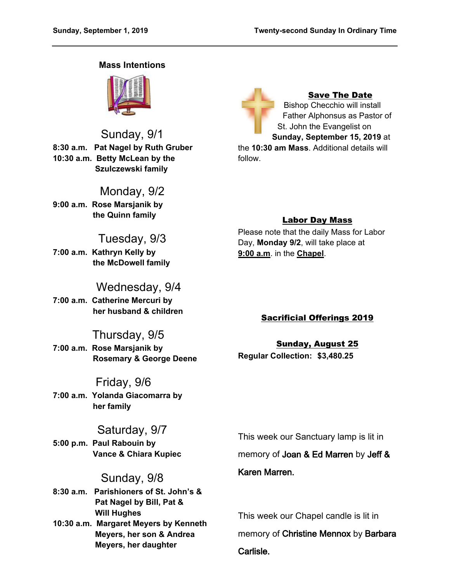## **Mass Intentions**



Sunday, 9/1 **8:30 a.m. Pat Nagel by Ruth Gruber 10:30 a.m. Betty McLean by the Szulczewski family**

Monday, 9/2 **9:00 a.m. Rose Marsjanik by**

 **the Quinn family**

# Tuesday, 9/3

**7:00 a.m. Kathryn Kelly by the McDowell family**

# Wednesday, 9/4

**7:00 a.m. Catherine Mercuri by her husband & children**

# Thursday, 9/5

**7:00 a.m. Rose Marsjanik by Rosemary & George Deene**

# Friday, 9/6

**7:00 a.m. Yolanda Giacomarra by her family**

# Saturday, 9/7

**5:00 p.m. Paul Rabouin by Vance & Chiara Kupiec**

# Sunday, 9/8

**8:30 a.m. Parishioners of St. John's & Pat Nagel by Bill, Pat & Will Hughes 10:30 a.m. Margaret Meyers by Kenneth Meyers, her son & Andrea Meyers, her daughter**

Save The Date Bishop Checchio will install Father Alphonsus as Pastor of St. John the Evangelist on **Sunday, September 15, 2019** at the **10:30 am Mass**. Additional details will follow.

# Labor Day Mass

Please note that the daily Mass for Labor Day, **Monday 9/2**, will take place at **9:00 a.m**. in the **Chapel**.

# Sacrificial Offerings 2019

Sunday, August 25 **Regular Collection: \$3,480.25**

This week our Sanctuary lamp is lit in

memory of **Joan & Ed Marren** by **Jeff &** 

# **Karen Marren.**

This week our Chapel candle is lit in memory of **Christine Mennox** by **Barbara Carlisle.**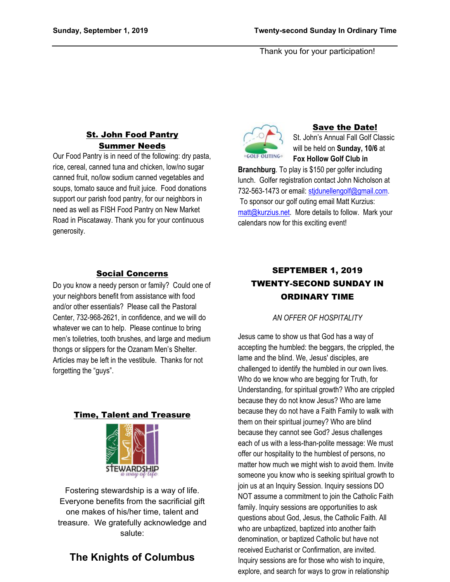Thank you for your participation!

# St. John Food Pantry Summer Needs

Our Food Pantry is in need of the following: dry pasta, rice, cereal, canned tuna and chicken, low/no sugar canned fruit, no/low sodium canned vegetables and soups, tomato sauce and fruit juice. Food donations support our parish food pantry, for our neighbors in need as well as FISH Food Pantry on New Market Road in Piscataway. Thank you for your continuous generosity.

### Social Concerns

Do you know a needy person or family? Could one of your neighbors benefit from assistance with food and/or other essentials? Please call the Pastoral Center, 732-968-2621, in confidence, and we will do whatever we can to help. Please continue to bring men's toiletries, tooth brushes, and large and medium thongs or slippers for the Ozanam Men's Shelter. Articles may be left in the vestibule. Thanks for not forgetting the "guys".

### Time, Talent and Treasure



Fostering stewardship is a way of life. Everyone benefits from the sacrificial gift one makes of his/her time, talent and treasure. We gratefully acknowledge and salute:

# **The Knights of Columbus**



### Save the Date!

St. John's Annual Fall Golf Classic will be held on **Sunday, 10/6** at **Fox Hollow Golf Club in** 

**Branchburg**. To play is \$150 per golfer including lunch. Golfer registration contact John Nicholson at 732-563-1473 or email: [stjdunellengolf@gmail.com.](mailto:stjdunellengolf@gmail.com) To sponsor our golf outing email Matt Kurzius: [matt@kurzius.net](mailto:matt@kurzius.net). More details to follow. Mark your calendars now for this exciting event!

# SEPTEMBER 1, 2019 TWENTY-SECOND SUNDAY IN ORDINARY TIME

### *AN OFFER OF HOSPITALITY*

Jesus came to show us that God has a way of accepting the humbled: the beggars, the crippled, the lame and the blind. We, Jesus' disciples, are challenged to identify the humbled in our own lives. Who do we know who are begging for Truth, for Understanding, for spiritual growth? Who are crippled because they do not know Jesus? Who are lame because they do not have a Faith Family to walk with them on their spiritual journey? Who are blind because they cannot see God? Jesus challenges each of us with a less-than-polite message: We must offer our hospitality to the humblest of persons, no matter how much we might wish to avoid them. Invite someone you know who is seeking spiritual growth to join us at an Inquiry Session. Inquiry sessions DO NOT assume a commitment to join the Catholic Faith family. Inquiry sessions are opportunities to ask questions about God, Jesus, the Catholic Faith. All who are unbaptized, baptized into another faith denomination, or baptized Catholic but have not received Eucharist or Confirmation, are invited. Inquiry sessions are for those who wish to inquire, explore, and search for ways to grow in relationship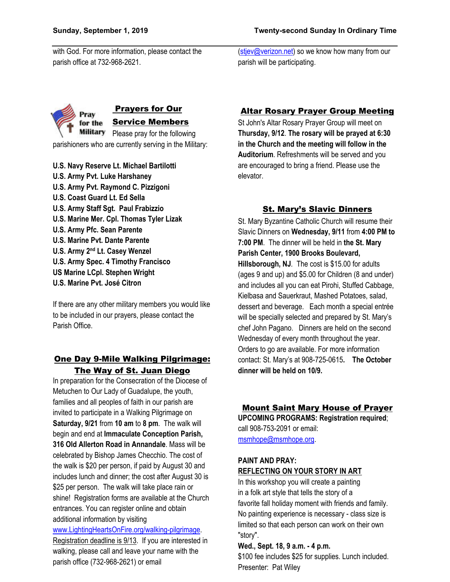with God. For more information, please contact the parish office at 732-968-2621.

[\(stjev@verizon.net\)](mailto:stjev@verizon.net) so we know how many from our parish will be participating.



parishioners who are currently serving in the Military:

**U.S. Navy Reserve Lt. Michael Bartilotti U.S. Army Pvt. Luke Harshaney U.S. Army Pvt. Raymond C. Pizzigoni U.S. Coast Guard Lt. Ed Sella U.S. Army Staff Sgt. Paul Frabizzio U.S. Marine Mer. Cpl. Thomas Tyler Lizak U.S. Army Pfc. Sean Parente U.S. Marine Pvt. Dante Parente U.S. Army 2nd Lt. Casey Wenzel U.S. Army Spec. 4 Timothy Francisco US Marine LCpl. Stephen Wright U.S. Marine Pvt. José Citron**

If there are any other military members you would like to be included in our prayers, please contact the Parish Office.

# One Day 9-Mile Walking Pilgrimage: The Way of St. Juan Diego

In preparation for the Consecration of the Diocese of Metuchen to Our Lady of Guadalupe, the youth, families and all peoples of faith in our parish are invited to participate in a Walking Pilgrimage on **Saturday, 9/21** from **10 am** to **8 pm**. The walk will begin and end at **Immaculate Conception Parish, 316 Old Allerton Road in Annandale**. Mass will be celebrated by Bishop James Checchio. The cost of the walk is \$20 per person, if paid by August 30 and includes lunch and dinner; the cost after August 30 is \$25 per person. The walk will take place rain or shine! Registration forms are available at the Church entrances. You can register online and obtain additional information by visiting

[www.LightingHeartsOnFire.org/walking-pilgrimage.](http://www.lightingheartsonfire.org/walking-pilgrimage) Registration deadline is 9/13. If you are interested in walking, please call and leave your name with the parish office (732-968-2621) or email

# Altar Rosary Prayer Group Meeting

St John's Altar Rosary Prayer Group will meet on **Thursday, 9/12**. **The rosary will be prayed at 6:30 in the Church and the meeting will follow in the Auditorium**. Refreshments will be served and you are encouraged to bring a friend. Please use the elevator.

# St. Mary's Slavic Dinners

St. Mary Byzantine Catholic Church will resume their Slavic Dinners on **Wednesday, 9/11** from **4:00 PM to 7:00 PM**. The dinner will be held in **the St. Mary Parish Center, 1900 Brooks Boulevard, Hillsborough, NJ***.* The cost is \$15.00 for adults (ages 9 and up) and \$5.00 for Children (8 and under) and includes all you can eat Pirohi, Stuffed Cabbage, Kielbasa and Sauerkraut, Mashed Potatoes, salad, dessert and beverage. Each month a special entrée will be specially selected and prepared by St. Mary's chef John Pagano. Dinners are held on the second Wednesday of every month throughout the year. Orders to go are available. For more information contact: St. Mary's at 908-725-0615**. The October dinner will be held on 10/9.**

## Mount Saint Mary House of Prayer

**UPCOMING PROGRAMS: Registration required**; call 908-753-2091 or email: [msmhope@msmhope.org.](mailto:msmhope@msmhope.org)

#### **PAINT AND PRAY: REFLECTING ON YOUR STORY IN ART**

In this workshop you will create a painting in a folk art style that tells the story of a favorite fall holiday moment with friends and family. No painting experience is necessary - class size is limited so that each person can work on their own "story".

## **Wed., Sept. 18, 9 a.m. - 4 p.m.**

\$100 fee includes \$25 for supplies. Lunch included. Presenter: Pat Wiley